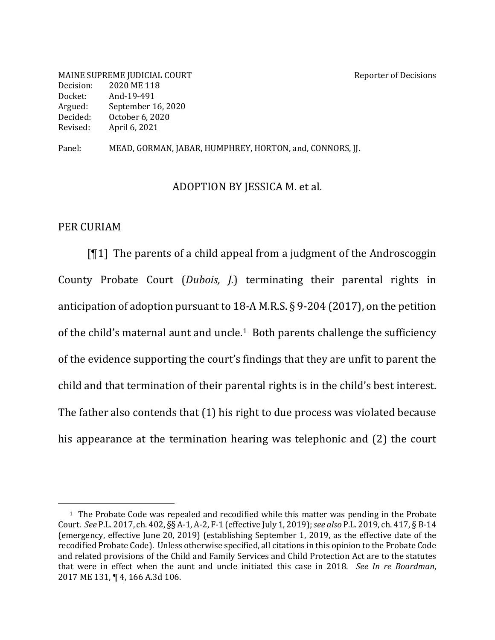MAINE SUPREME JUDICIAL COURT SERVICE AND REPORT AND REPORT REPORT OF DECISIONS Decision: 2020 ME 118 Docket: And-19-491 Argued: September 16, 2020 Decided: October 6, 2020 Revised: April 6, 2021

Panel: MEAD, GORMAN, JABAR, HUMPHREY, HORTON, and, CONNORS, JJ.

#### ADOPTION BY JESSICA M. et al.

### PER CURIAM

 $[1]$  The parents of a child appeal from a judgment of the Androscoggin County Probate Court (*Dubois*, *J.*) terminating their parental rights in anticipation of adoption pursuant to 18-A M.R.S.  $\S$  9-204 (2017), on the petition of the child's maternal aunt and uncle.<sup>1</sup> Both parents challenge the sufficiency of the evidence supporting the court's findings that they are unfit to parent the child and that termination of their parental rights is in the child's best interest. The father also contends that  $(1)$  his right to due process was violated because his appearance at the termination hearing was telephonic and  $(2)$  the court

 $1$  The Probate Code was repealed and recodified while this matter was pending in the Probate Court. See P.L. 2017, ch. 402, §§ A-1, A-2, F-1 (effective July 1, 2019); see also P.L. 2019, ch. 417, § B-14 (emergency, effective June 20, 2019) (establishing September 1, 2019, as the effective date of the recodified Probate Code). Unless otherwise specified, all citations in this opinion to the Probate Code and related provisions of the Child and Family Services and Child Protection Act are to the statutes that were in effect when the aunt and uncle initiated this case in 2018. See In re Boardman, 2017 ME 131, ¶ 4, 166 A.3d 106.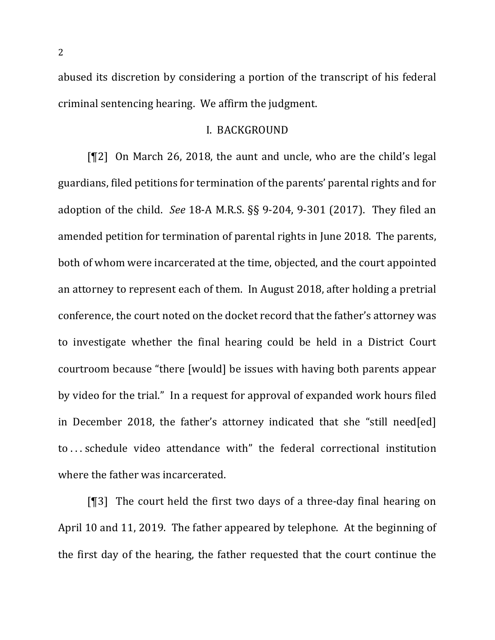abused its discretion by considering a portion of the transcript of his federal criminal sentencing hearing. We affirm the judgment.

#### I. BACKGROUND

[¶2] On March 26, 2018, the aunt and uncle, who are the child's legal guardians, filed petitions for termination of the parents' parental rights and for adoption of the child. *See* 18-A M.R.S. §§ 9-204, 9-301 (2017). They filed an amended petition for termination of parental rights in June 2018. The parents, both of whom were incarcerated at the time, objected, and the court appointed an attorney to represent each of them. In August 2018, after holding a pretrial conference, the court noted on the docket record that the father's attorney was to investigate whether the final hearing could be held in a District Court courtroom because "there [would] be issues with having both parents appear by video for the trial." In a request for approval of expanded work hours filed in December 2018, the father's attorney indicated that she "still need[ed] to ... schedule video attendance with" the federal correctional institution where the father was incarcerated.

 $[$ [ $]$ ] The court held the first two days of a three-day final hearing on April 10 and 11, 2019. The father appeared by telephone. At the beginning of the first day of the hearing, the father requested that the court continue the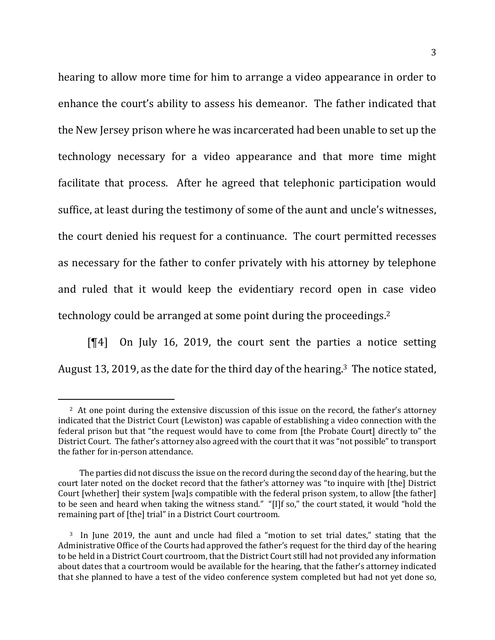hearing to allow more time for him to arrange a video appearance in order to enhance the court's ability to assess his demeanor. The father indicated that the New Jersey prison where he was incarcerated had been unable to set up the technology necessary for a video appearance and that more time might facilitate that process. After he agreed that telephonic participation would suffice, at least during the testimony of some of the aunt and uncle's witnesses, the court denied his request for a continuance. The court permitted recesses as necessary for the father to confer privately with his attorney by telephone and ruled that it would keep the evidentiary record open in case video technology could be arranged at some point during the proceedings.<sup>2</sup>

 $[$ [4] On July 16, 2019, the court sent the parties a notice setting August 13, 2019, as the date for the third day of the hearing.<sup>3</sup> The notice stated,

<sup>&</sup>lt;sup>2</sup> At one point during the extensive discussion of this issue on the record, the father's attorney indicated that the District Court (Lewiston) was capable of establishing a video connection with the federal prison but that "the request would have to come from [the Probate Court] directly to" the District Court. The father's attorney also agreed with the court that it was "not possible" to transport the father for in-person attendance.

The parties did not discuss the issue on the record during the second day of the hearing, but the court later noted on the docket record that the father's attorney was "to inquire with [the] District Court [whether] their system [wa]s compatible with the federal prison system, to allow [the father] to be seen and heard when taking the witness stand." "[I]f so," the court stated, it would "hold the remaining part of [the] trial" in a District Court courtroom.

<sup>&</sup>lt;sup>3</sup> In June 2019, the aunt and uncle had filed a "motion to set trial dates," stating that the Administrative Office of the Courts had approved the father's request for the third day of the hearing to be held in a District Court courtroom, that the District Court still had not provided any information about dates that a courtroom would be available for the hearing, that the father's attorney indicated that she planned to have a test of the video conference system completed but had not yet done so,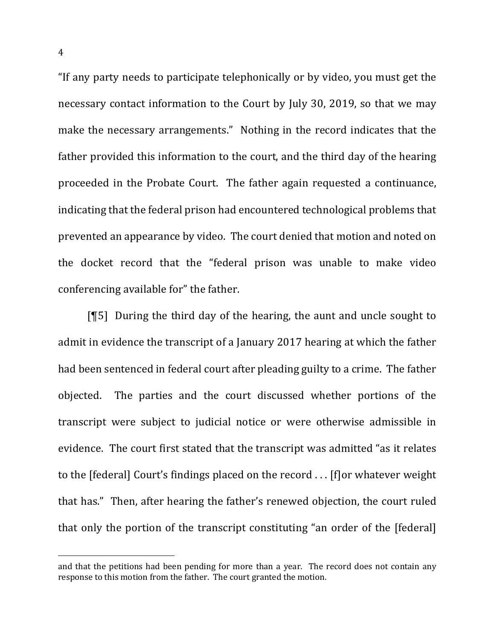"If any party needs to participate telephonically or by video, you must get the necessary contact information to the Court by July 30, 2019, so that we may make the necessary arrangements." Nothing in the record indicates that the father provided this information to the court, and the third day of the hearing proceeded in the Probate Court. The father again requested a continuance, indicating that the federal prison had encountered technological problems that prevented an appearance by video. The court denied that motion and noted on the docket record that the "federal prison was unable to make video conferencing available for" the father.

 $[\![5]\!]$  During the third day of the hearing, the aunt and uncle sought to admit in evidence the transcript of a January 2017 hearing at which the father had been sentenced in federal court after pleading guilty to a crime. The father objected. The parties and the court discussed whether portions of the transcript were subject to judicial notice or were otherwise admissible in evidence. The court first stated that the transcript was admitted "as it relates to the [federal] Court's findings placed on the record . . . [f]or whatever weight that has." Then, after hearing the father's renewed objection, the court ruled that only the portion of the transcript constituting "an order of the [federal]

and that the petitions had been pending for more than a year. The record does not contain any response to this motion from the father. The court granted the motion.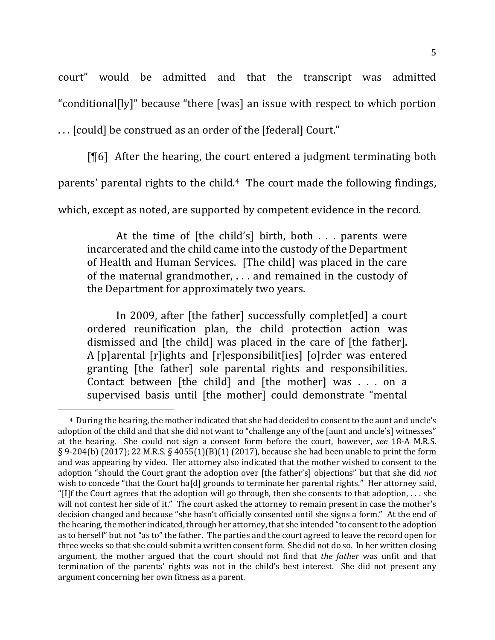court" would be admitted and that the transcript was admitted "conditional[ly]" because "there [was] an issue with respect to which portion

... [could] be construed as an order of the [federal] Court."

 $[$ [6] After the hearing, the court entered a judgment terminating both

parents' parental rights to the child.<sup>4</sup> The court made the following findings,

which, except as noted, are supported by competent evidence in the record.

At the time of  $[$ the child's $]$  birth, both . . . parents were incarcerated and the child came into the custody of the Department of Health and Human Services. [The child] was placed in the care of the maternal grandmother,  $\dots$  and remained in the custody of the Department for approximately two years.

In 2009, after [the father] successfully complet[ed] a court ordered reunification plan, the child protection action was dismissed and [the child] was placed in the care of [the father]. A [p]arental  $[r]$ ights and  $[r]$ esponsibilit $[i]$ es]  $[o]$ rder was entered granting [the father] sole parental rights and responsibilities. Contact between [the child] and [the mother] was . . . on a supervised basis until [the mother] could demonstrate "mental

<sup>&</sup>lt;sup>4</sup> During the hearing, the mother indicated that she had decided to consent to the aunt and uncle's adoption of the child and that she did not want to "challenge any of the [aunt and uncle's] witnesses" at the hearing. She could not sign a consent form before the court, however, see 18-A M.R.S. § 9-204(b) (2017); 22 M.R.S. § 4055(1)(B)(1) (2017), because she had been unable to print the form and was appearing by video. Her attorney also indicated that the mother wished to consent to the adoption "should the Court grant the adoption over [the father's] objections" but that she did *not* wish to concede "that the Court ha[d] grounds to terminate her parental rights." Her attorney said, "[I]f the Court agrees that the adoption will go through, then she consents to that adoption, . . . she will not contest her side of it." The court asked the attorney to remain present in case the mother's decision changed and because "she hasn't officially consented until she signs a form." At the end of the hearing, the mother indicated, through her attorney, that she intended "to consent to the adoption as to herself" but not "as to" the father. The parties and the court agreed to leave the record open for three weeks so that she could submit a written consent form. She did not do so. In her written closing argument, the mother argued that the court should not find that *the father* was unfit and that termination of the parents' rights was not in the child's best interest. She did not present any argument concerning her own fitness as a parent.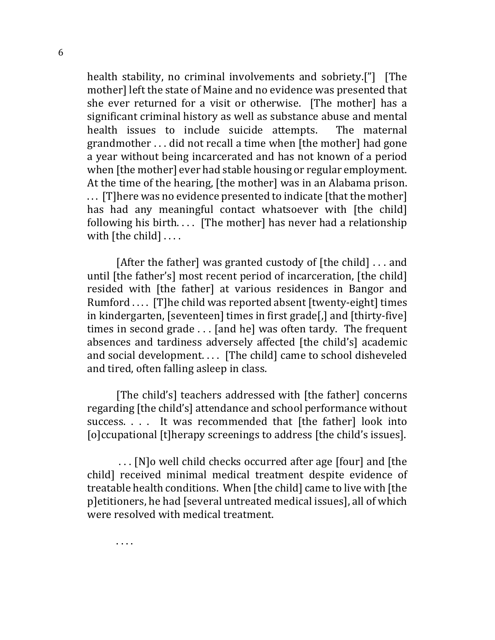health stability, no criminal involvements and sobriety.["] [The mother] left the state of Maine and no evidence was presented that she ever returned for a visit or otherwise. [The mother] has a significant criminal history as well as substance abuse and mental health issues to include suicide attempts. The maternal grandmother  $\ldots$  did not recall a time when [the mother] had gone a year without being incarcerated and has not known of a period when [the mother] ever had stable housing or regular employment. At the time of the hearing, [the mother] was in an Alabama prison. ... [T] here was no evidence presented to indicate [that the mother] has had any meaningful contact whatsoever with [the child] following his birth.... [The mother] has never had a relationship with  $[$ the child $]$  ....

[After the father] was granted custody of  $[$ the child]  $\ldots$  and until [the father's] most recent period of incarceration, [the child] resided with [the father] at various residences in Bangor and Rumford .... [T]he child was reported absent [twenty-eight] times in kindergarten, [seventeen] times in first grade[,] and [thirty-five] times in second grade  $\dots$  [and he] was often tardy. The frequent absences and tardiness adversely affected [the child's] academic and social development. . . . [The child] came to school disheveled and tired, often falling asleep in class.

[The child's] teachers addressed with [the father] concerns regarding [the child's] attendance and school performance without success. . . . It was recommended that [the father] look into [o]ccupational [t]herapy screenings to address [the child's issues].

... [N]o well child checks occurred after age [four] and [the child] received minimal medical treatment despite evidence of treatable health conditions. When [the child] came to live with [the p]etitioners, he had [several untreated medical issues], all of which were resolved with medical treatment.

. . . .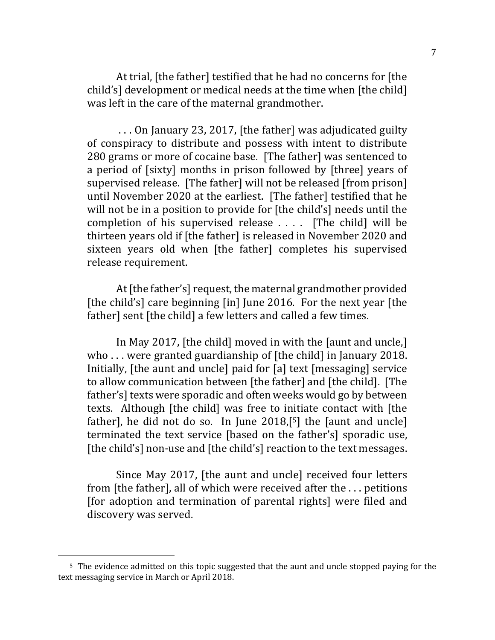At trial, [the father] testified that he had no concerns for [the child's] development or medical needs at the time when [the child] was left in the care of the maternal grandmother.

... On January 23, 2017, [the father] was adjudicated guilty of conspiracy to distribute and possess with intent to distribute 280 grams or more of cocaine base. [The father] was sentenced to a period of [sixty] months in prison followed by [three] years of supervised release. [The father] will not be released [from prison] until November 2020 at the earliest. [The father] testified that he will not be in a position to provide for [the child's] needs until the completion of his supervised release  $\ldots$ . [The child] will be thirteen years old if [the father] is released in November 2020 and sixteen years old when [the father] completes his supervised release requirement.

At [the father's] request, the maternal grandmother provided [the child's] care beginning [in] June 2016. For the next year [the father] sent [the child] a few letters and called a few times.

In May 2017, [the child] moved in with the [aunt and uncle,] who ... were granted guardianship of  $[$ the child $]$  in January 2018. Initially, [the aunt and uncle] paid for [a] text [messaging] service to allow communication between [the father] and [the child]. [The father's] texts were sporadic and often weeks would go by between texts. Although [the child] was free to initiate contact with [the father], he did not do so. In June  $2018$ ,<sup>[5]</sup> the [aunt and uncle] terminated the text service [based on the father's] sporadic use, [the child's] non-use and [the child's] reaction to the text messages.

Since May 2017, [the aunt and uncle] received four letters from [the father], all of which were received after the ... petitions [for adoption and termination of parental rights] were filed and discovery was served.

<sup>&</sup>lt;sup>5</sup> The evidence admitted on this topic suggested that the aunt and uncle stopped paying for the text messaging service in March or April 2018.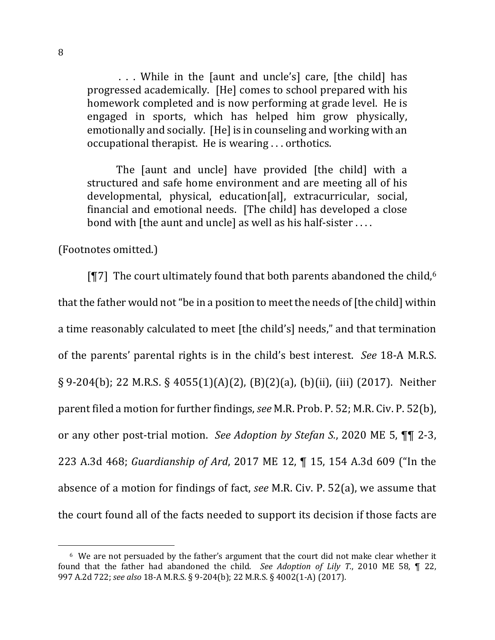... While in the [aunt and uncle's] care, [the child] has progressed academically. [He] comes to school prepared with his homework completed and is now performing at grade level. He is engaged in sports, which has helped him grow physically, emotionally and socially. [He] is in counseling and working with an occupational therapist. He is wearing ... orthotics.

The faunt and unclel have provided [the child] with a structured and safe home environment and are meeting all of his developmental, physical, education[al], extracurricular, social, financial and emotional needs. [The child] has developed a close bond with  $[the$  aunt and uncle $]$  as well as his half-sister  $\dots$ .

(Footnotes omitted.)

 $\P$ 7] The court ultimately found that both parents abandoned the child,  $6$ that the father would not "be in a position to meet the needs of [the child] within a time reasonably calculated to meet [the child's] needs," and that termination of the parents' parental rights is in the child's best interest. *See* 18-A M.R.S.  $\S 9-204(b)$ ; 22 M.R.S.  $\S 4055(1)(A)(2)$ ,  $(B)(2)(a)$ ,  $(b)(ii)$ , (iii) (2017). Neither parent filed a motion for further findings, *see* M.R. Prob. P. 52; M.R. Civ. P. 52(b), or any other post-trial motion. See Adoption by Stefan S., 2020 ME 5,  $\P\P$  2-3, 223 A.3d 468; *Guardianship of Ard*, 2017 ME 12, ¶ 15, 154 A.3d 609 ("In the absence of a motion for findings of fact, *see* M.R. Civ. P. 52(a), we assume that the court found all of the facts needed to support its decision if those facts are

 $6$  We are not persuaded by the father's argument that the court did not make clear whether it found that the father had abandoned the child. See Adoption of Lily T., 2010 ME 58, ¶ 22, 997 A.2d 722; see also 18-A M.R.S. § 9-204(b); 22 M.R.S. § 4002(1-A) (2017).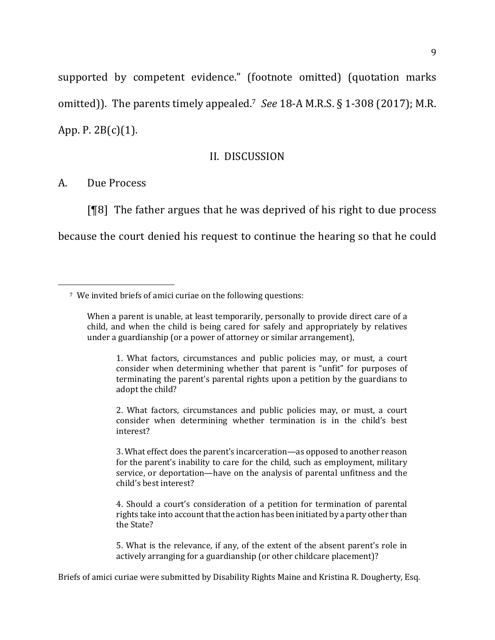supported by competent evidence." (footnote omitted) (quotation marks omitted)). The parents timely appealed.<sup>7</sup> See 18-A M.R.S.  $\S$  1-308 (2017); M.R. App. P.  $2B(c)(1)$ .

#### II. DISCUSSION

A. Due Process

 $[$ <del>[</del>[8] The father argues that he was deprived of his right to due process because the court denied his request to continue the hearing so that he could

2. What factors, circumstances and public policies may, or must, a court consider when determining whether termination is in the child's best interest?

3. What effect does the parent's incarceration—as opposed to another reason for the parent's inability to care for the child, such as employment, military service, or deportation—have on the analysis of parental unfitness and the child's best interest?

4. Should a court's consideration of a petition for termination of parental rights take into account that the action has been initiated by a party other than the State?

5. What is the relevance, if any, of the extent of the absent parent's role in actively arranging for a guardianship (or other childcare placement)?

Briefs of amici curiae were submitted by Disability Rights Maine and Kristina R. Dougherty, Esq.

<sup>&</sup>lt;sup>7</sup> We invited briefs of amici curiae on the following questions:

When a parent is unable, at least temporarily, personally to provide direct care of a child, and when the child is being cared for safely and appropriately by relatives under a guardianship (or a power of attorney or similar arrangement),

<sup>1.</sup> What factors, circumstances and public policies may, or must, a court consider when determining whether that parent is "unfit" for purposes of terminating the parent's parental rights upon a petition by the guardians to adopt the child?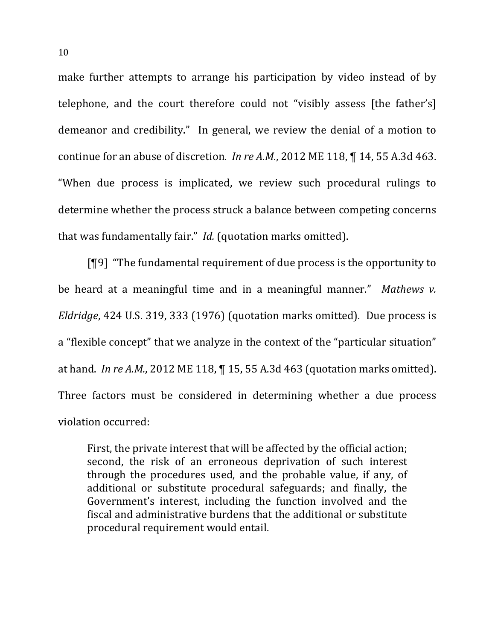make further attempts to arrange his participation by video instead of by telephone, and the court therefore could not "visibly assess [the father's] demeanor and credibility." In general, we review the denial of a motion to continue for an abuse of discretion. *In re A.M.*, 2012 ME 118,  $\P$  14, 55 A.3d 463. "When due process is implicated, we review such procedural rulings to determine whether the process struck a balance between competing concerns that was fundamentally fair." *Id.* (quotation marks omitted).

 $[$ [9] "The fundamental requirement of due process is the opportunity to be heard at a meaningful time and in a meaningful manner." Mathews v. *Eldridge*, 424 U.S. 319, 333 (1976) (quotation marks omitted). Due process is a "flexible concept" that we analyze in the context of the "particular situation" at hand. *In re A.M.*, 2012 ME 118,  $\P$  15, 55 A.3d 463 (quotation marks omitted). Three factors must be considered in determining whether a due process violation occurred:

First, the private interest that will be affected by the official action; second, the risk of an erroneous deprivation of such interest through the procedures used, and the probable value, if any, of additional or substitute procedural safeguards; and finally, the Government's interest, including the function involved and the fiscal and administrative burdens that the additional or substitute procedural requirement would entail.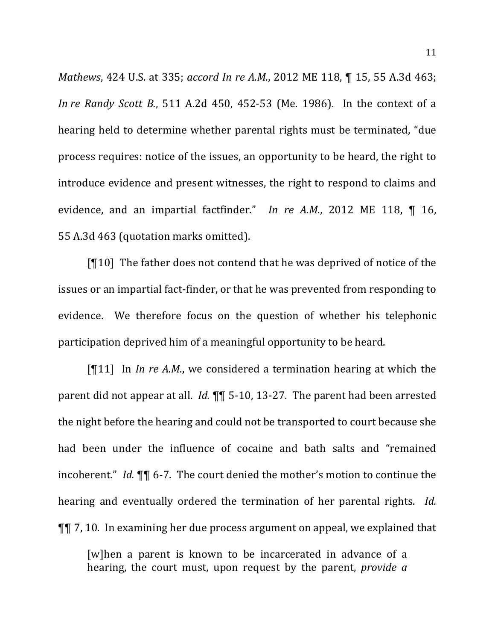*Mathews*, 424 U.S. at 335; *accord In re A.M.*, 2012 ME 118, 15, 55 A.3d 463; *In re* Randy *Scott B.*, 511 A.2d 450, 452-53 (Me. 1986). In the context of a hearing held to determine whether parental rights must be terminated, "due process requires: notice of the issues, an opportunity to be heard, the right to introduce evidence and present witnesses, the right to respond to claims and evidence, and an impartial factfinder." In re  $A.M., 2012 \, \text{ME}$  118,  $\P$  16, 55 A.3d 463 (quotation marks omitted).

 $[10]$  The father does not contend that he was deprived of notice of the issues or an impartial fact-finder, or that he was prevented from responding to evidence. We therefore focus on the question of whether his telephonic participation deprived him of a meaningful opportunity to be heard.

 $[\P 11]$  In *In re A.M.*, we considered a termination hearing at which the parent did not appear at all. *Id.* **¶** 5-10, 13-27. The parent had been arrested the night before the hearing and could not be transported to court because she had been under the influence of cocaine and bath salts and "remained incoherent." *Id.*  $\P\P$  6-7. The court denied the mother's motion to continue the hearing and eventually ordered the termination of her parental rights. *Id.*  $\P$ , 10. In examining her due process argument on appeal, we explained that

[w]hen a parent is known to be incarcerated in advance of a hearing, the court must, upon request by the parent, *provide a*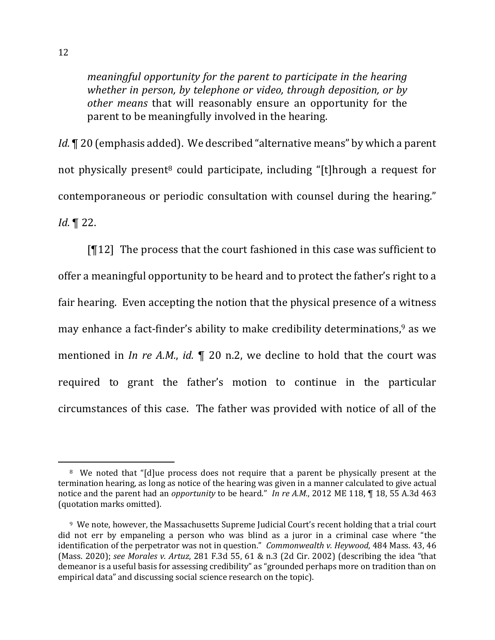*meaningful opportunity for the parent to participate in the hearing whether in person, by telephone or video, through deposition, or by other means* that will reasonably ensure an opportunity for the parent to be meaningfully involved in the hearing.

*Id.*  $\P$  20 (emphasis added). We described "alternative means" by which a parent not physically present<sup>8</sup> could participate, including "[t]hrough a request for contemporaneous or periodic consultation with counsel during the hearing." *Id.* ¶ 22.

 $[T12]$  The process that the court fashioned in this case was sufficient to offer a meaningful opportunity to be heard and to protect the father's right to a fair hearing. Even accepting the notion that the physical presence of a witness may enhance a fact-finder's ability to make credibility determinations,<sup>9</sup> as we mentioned in *In re A.M.*, *id.*  $\P$  20 n.2, we decline to hold that the court was required to grant the father's motion to continue in the particular circumstances of this case. The father was provided with notice of all of the

<sup>&</sup>lt;sup>8</sup> We noted that "[d]ue process does not require that a parent be physically present at the termination hearing, as long as notice of the hearing was given in a manner calculated to give actual notice and the parent had an *opportunity* to be heard." In re A.M., 2012 ME 118, ¶ 18, 55 A.3d 463 (quotation marks omitted).

<sup>&</sup>lt;sup>9</sup> We note, however, the Massachusetts Supreme Judicial Court's recent holding that a trial court did not err by empaneling a person who was blind as a juror in a criminal case where "the identification of the perpetrator was not in question." *Commonwealth v. Heywood*, 484 Mass. 43, 46 (Mass. 2020); *see Morales v. Artuz*, 281 F.3d 55, 61 & n.3 (2d Cir. 2002) (describing the idea "that demeanor is a useful basis for assessing credibility" as "grounded perhaps more on tradition than on empirical data" and discussing social science research on the topic).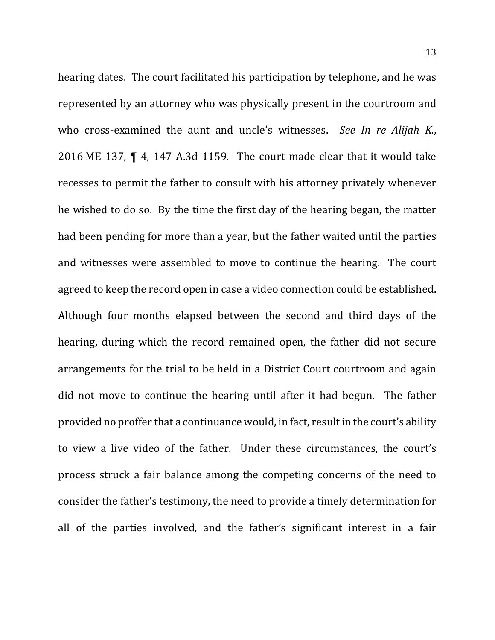hearing dates. The court facilitated his participation by telephone, and he was represented by an attorney who was physically present in the courtroom and who cross-examined the aunt and uncle's witnesses. *See In re Alijah K.*, 2016 ME 137,  $\P$  4, 147 A.3d 1159. The court made clear that it would take recesses to permit the father to consult with his attorney privately whenever he wished to do so. By the time the first day of the hearing began, the matter had been pending for more than a year, but the father waited until the parties and witnesses were assembled to move to continue the hearing. The court agreed to keep the record open in case a video connection could be established. Although four months elapsed between the second and third days of the hearing, during which the record remained open, the father did not secure arrangements for the trial to be held in a District Court courtroom and again did not move to continue the hearing until after it had begun. The father provided no proffer that a continuance would, in fact, result in the court's ability to view a live video of the father. Under these circumstances, the court's process struck a fair balance among the competing concerns of the need to consider the father's testimony, the need to provide a timely determination for all of the parties involved, and the father's significant interest in a fair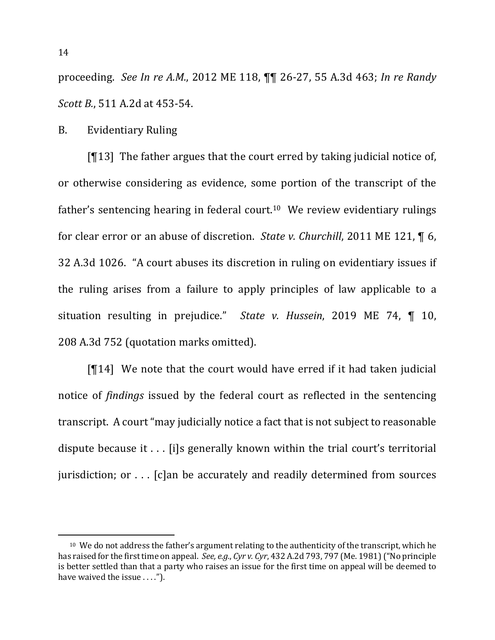proceeding. See In re A.M., 2012 ME 118,  $\P\P$  26-27, 55 A.3d 463; In re Randy *Scott B.*, 511 A.2d at 453-54.

B. Evidentiary Ruling

[ $\P$ 13] The father argues that the court erred by taking judicial notice of, or otherwise considering as evidence, some portion of the transcript of the father's sentencing hearing in federal court.<sup>10</sup> We review evidentiary rulings for clear error or an abuse of discretion. *State v. Churchill*, 2011 ME 121,  $\P$  6, 32 A.3d 1026. "A court abuses its discretion in ruling on evidentiary issues if the ruling arises from a failure to apply principles of law applicable to a situation resulting in prejudice." State v. Hussein, 2019 ME 74, ¶ 10, 208 A.3d 752 (quotation marks omitted).

 $[\mathcal{T}14]$  We note that the court would have erred if it had taken judicial notice of *findings* issued by the federal court as reflected in the sentencing transcript. A court "may judicially notice a fact that is not subject to reasonable dispute because it  $\ldots$  [i]s generally known within the trial court's territorial jurisdiction; or  $\dots$  [c]an be accurately and readily determined from sources

 $10$  We do not address the father's argument relating to the authenticity of the transcript, which he has raised for the first time on appeal. *See, e.g., Cyr v. Cyr*, 432 A.2d 793, 797 (Me. 1981) ("No principle is better settled than that a party who raises an issue for the first time on appeal will be deemed to have waived the issue  $\dots$ .").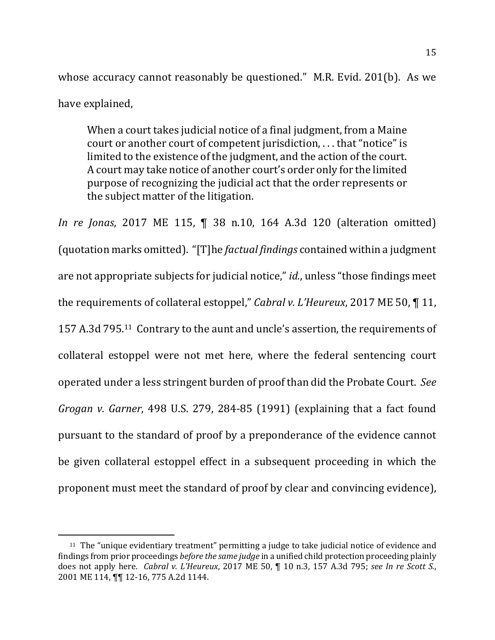whose accuracy cannot reasonably be questioned." M.R. Evid.  $201(b)$ . As we have explained,

When a court takes judicial notice of a final judgment, from a Maine court or another court of competent jurisdiction, ... that "notice" is limited to the existence of the judgment, and the action of the court. A court may take notice of another court's order only for the limited purpose of recognizing the judicial act that the order represents or the subject matter of the litigation.

*In re Jonas*, 2017 ME 115, ¶ 38 n.10, 164 A.3d 120 (alteration omitted) (quotation marks omitted). "[T]he *factual findings* contained within a judgment are not appropriate subjects for judicial notice," *id.*, unless "those findings meet the requirements of collateral estoppel," *Cabral v. L'Heureux*, 2017 ME 50, ¶ 11, 157 A.3d 795.<sup>11</sup> Contrary to the aunt and uncle's assertion, the requirements of collateral estoppel were not met here, where the federal sentencing court operated under a less stringent burden of proof than did the Probate Court. See *Grogan v. Garner*, 498 U.S. 279, 284-85 (1991) (explaining that a fact found pursuant to the standard of proof by a preponderance of the evidence cannot be given collateral estoppel effect in a subsequent proceeding in which the proponent must meet the standard of proof by clear and convincing evidence),

 $11$  The "unique evidentiary treatment" permitting a judge to take judicial notice of evidence and findings from prior proceedings *before the same judge* in a unified child protection proceeding plainly does not apply here. *Cabral v. L'Heureux*, 2017 ME 50, ¶ 10 n.3, 157 A.3d 795; *see In re Scott S.*, 2001 ME 114,  $\P\P$  12-16, 775 A.2d 1144.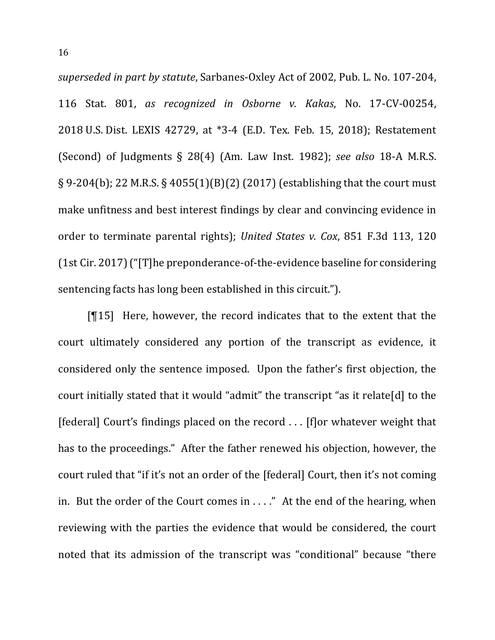*superseded in part by statute*, Sarbanes-Oxley Act of 2002, Pub. L. No. 107-204, 116 Stat. 801, *as recognized in Osborne v. Kakas*, No. 17-CV-00254, 2018 U.S. Dist. LEXIS 42729, at \*3-4 (E.D. Tex. Feb. 15, 2018); Restatement (Second) of Judgments  $\S$  28(4) (Am. Law Inst. 1982); see also 18-A M.R.S. § 9-204(b); 22 M.R.S. § 4055(1)(B)(2) (2017) (establishing that the court must make unfitness and best interest findings by clear and convincing evidence in order to terminate parental rights); *United States v. Cox*, 851 F.3d 113, 120  $(1st Cir. 2017)$  ("[T]he preponderance-of-the-evidence baseline for considering sentencing facts has long been established in this circuit.").

 $[15]$  Here, however, the record indicates that to the extent that the court ultimately considered any portion of the transcript as evidence, it considered only the sentence imposed. Upon the father's first objection, the court initially stated that it would "admit" the transcript "as it relate[d] to the [federal] Court's findings placed on the record ... [f]or whatever weight that has to the proceedings." After the father renewed his objection, however, the court ruled that "if it's not an order of the [federal] Court, then it's not coming in. But the order of the Court comes in  $\dots$ ." At the end of the hearing, when reviewing with the parties the evidence that would be considered, the court noted that its admission of the transcript was "conditional" because "there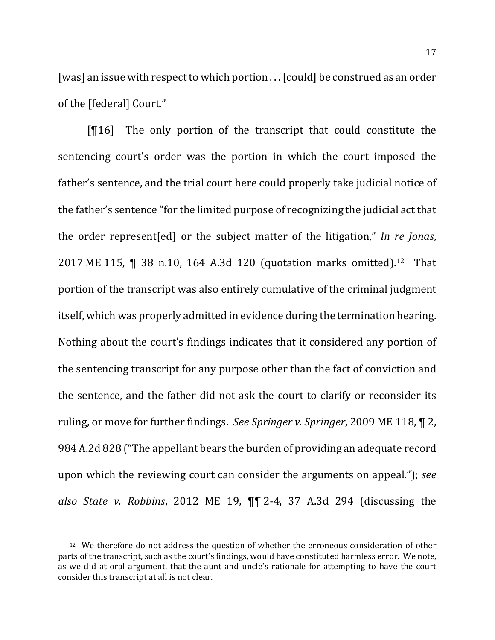[was] an issue with respect to which portion ... [could] be construed as an order of the [federal] Court."

 $[$ [16] The only portion of the transcript that could constitute the sentencing court's order was the portion in which the court imposed the father's sentence, and the trial court here could properly take judicial notice of the father's sentence "for the limited purpose of recognizing the judicial act that the order represent [ed] or the subject matter of the litigation," In re Jonas, 2017 ME 115,  $\P$  38 n.10, 164 A.3d 120 (quotation marks omitted).<sup>12</sup> That portion of the transcript was also entirely cumulative of the criminal judgment itself, which was properly admitted in evidence during the termination hearing. Nothing about the court's findings indicates that it considered any portion of the sentencing transcript for any purpose other than the fact of conviction and the sentence, and the father did not ask the court to clarify or reconsider its ruling, or move for further findings. See Springer v. Springer, 2009 ME 118,  $\P$  2, 984 A.2d 828 ("The appellant bears the burden of providing an adequate record upon which the reviewing court can consider the arguments on appeal."); *see also State v. Robbins*, 2012 ME 19, ¶¶ 2-4, 37 A.3d 294 (discussing the 

 $12$  We therefore do not address the question of whether the erroneous consideration of other parts of the transcript, such as the court's findings, would have constituted harmless error. We note, as we did at oral argument, that the aunt and uncle's rationale for attempting to have the court consider this transcript at all is not clear.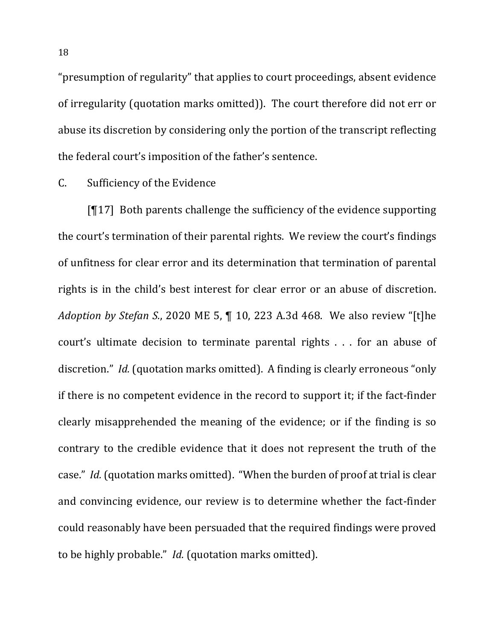"presumption of regularity" that applies to court proceedings, absent evidence of irregularity (quotation marks omitted)). The court therefore did not err or abuse its discretion by considering only the portion of the transcript reflecting the federal court's imposition of the father's sentence.

#### C. Sufficiency of the Evidence

 $[T17]$  Both parents challenge the sufficiency of the evidence supporting the court's termination of their parental rights. We review the court's findings of unfitness for clear error and its determination that termination of parental rights is in the child's best interest for clear error or an abuse of discretion. *Adoption by Stefan S.*, 2020 ME 5, ¶ 10, 223 A.3d 468. We also review "[t]he court's ultimate decision to terminate parental rights  $\ldots$  for an abuse of discretion." *Id.* (quotation marks omitted). A finding is clearly erroneous "only if there is no competent evidence in the record to support it; if the fact-finder clearly misapprehended the meaning of the evidence; or if the finding is so contrary to the credible evidence that it does not represent the truth of the case." *Id.* (quotation marks omitted). "When the burden of proof at trial is clear and convincing evidence, our review is to determine whether the fact-finder could reasonably have been persuaded that the required findings were proved to be highly probable." *Id.* (quotation marks omitted).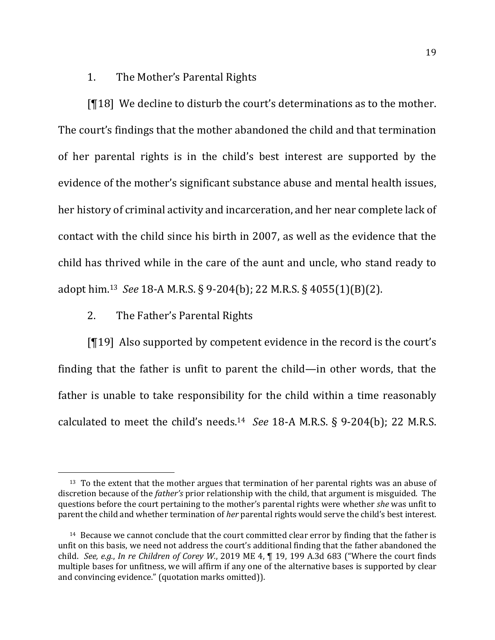# 1. The Mother's Parental Rights

 $[18]$  We decline to disturb the court's determinations as to the mother. The court's findings that the mother abandoned the child and that termination of her parental rights is in the child's best interest are supported by the evidence of the mother's significant substance abuse and mental health issues, her history of criminal activity and incarceration, and her near complete lack of contact with the child since his birth in 2007, as well as the evidence that the child has thrived while in the care of the aunt and uncle, who stand ready to adopt him.<sup>13</sup> See 18-A M.R.S. § 9-204(b); 22 M.R.S. § 4055(1)(B)(2).

## 2. The Father's Parental Rights

 $[19]$  Also supported by competent evidence in the record is the court's finding that the father is unfit to parent the child—in other words, that the father is unable to take responsibility for the child within a time reasonably calculated to meet the child's needs.<sup>14</sup> See 18-A M.R.S. § 9-204(b); 22 M.R.S.

 $13$  To the extent that the mother argues that termination of her parental rights was an abuse of discretion because of the *father's* prior relationship with the child, that argument is misguided. The questions before the court pertaining to the mother's parental rights were whether *she* was unfit to parent the child and whether termination of *her* parental rights would serve the child's best interest.

 $14$  Because we cannot conclude that the court committed clear error by finding that the father is unfit on this basis, we need not address the court's additional finding that the father abandoned the child. See, e.g., In re Children of Corey W., 2019 ME 4, ¶ 19, 199 A.3d 683 ("Where the court finds multiple bases for unfitness, we will affirm if any one of the alternative bases is supported by clear and convincing evidence." (quotation marks omitted)).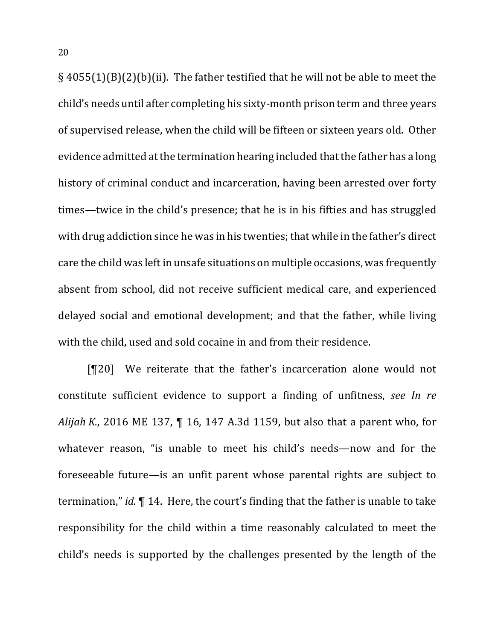$\S$  4055(1)(B)(2)(b)(ii). The father testified that he will not be able to meet the child's needs until after completing his sixty-month prison term and three years of supervised release, when the child will be fifteen or sixteen years old. Other evidence admitted at the termination hearing included that the father has a long history of criminal conduct and incarceration, having been arrested over forty times—twice in the child's presence; that he is in his fifties and has struggled with drug addiction since he was in his twenties; that while in the father's direct care the child was left in unsafe situations on multiple occasions, was frequently absent from school, did not receive sufficient medical care, and experienced delayed social and emotional development; and that the father, while living with the child, used and sold cocaine in and from their residence.

[¶20] We reiterate that the father's incarceration alone would not constitute sufficient evidence to support a finding of unfitness, see In re *Alijah K.*, 2016 ME 137,  $\P$  16, 147 A.3d 1159, but also that a parent who, for whatever reason, "is unable to meet his child's needs—now and for the foreseeable future—is an unfit parent whose parental rights are subject to termination," *id.*  $\P$  14. Here, the court's finding that the father is unable to take responsibility for the child within a time reasonably calculated to meet the child's needs is supported by the challenges presented by the length of the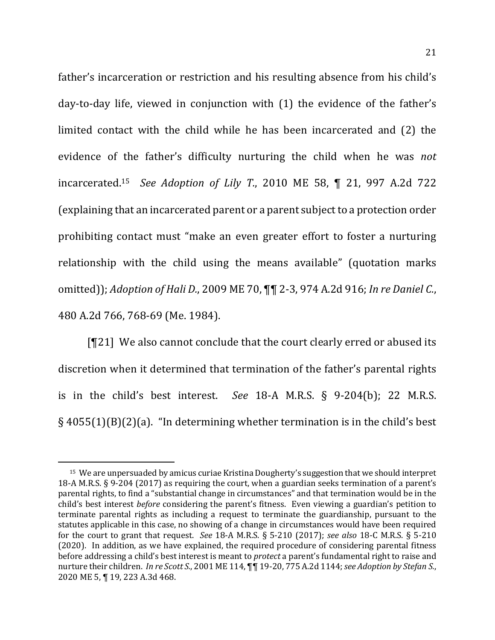father's incarceration or restriction and his resulting absence from his child's day-to-day life, viewed in conjunction with (1) the evidence of the father's limited contact with the child while he has been incarcerated and (2) the evidence of the father's difficulty nurturing the child when he was *not* incarcerated. 15 *See Adoption of Lily T.*, 2010 ME 58, ¶ 21, 997 A.2d 722 (explaining that an incarcerated parent or a parent subject to a protection order prohibiting contact must "make an even greater effort to foster a nurturing relationship with the child using the means available" (quotation marks omitted)); *Adoption of Hali D.*, 2009 ME 70,  $\P\P$  2-3, 974 A.2d 916; *In re Daniel C.*, 480 A.2d 766, 768-69 (Me. 1984).

 $[T21]$  We also cannot conclude that the court clearly erred or abused its discretion when it determined that termination of the father's parental rights is in the child's best interest. See  $18-A$  M.R.S.  $\S$  9-204(b); 22 M.R.S.  $\S$  4055(1)(B)(2)(a). "In determining whether termination is in the child's best

<sup>&</sup>lt;sup>15</sup> We are unpersuaded by amicus curiae Kristina Dougherty's suggestion that we should interpret 18-A M.R.S.  $\S$  9-204 (2017) as requiring the court, when a guardian seeks termination of a parent's parental rights, to find a "substantial change in circumstances" and that termination would be in the child's best interest *before* considering the parent's fitness. Even viewing a guardian's petition to terminate parental rights as including a request to terminate the guardianship, pursuant to the statutes applicable in this case, no showing of a change in circumstances would have been required for the court to grant that request. *See* 18-A M.R.S. § 5-210 (2017); *see also* 18-C M.R.S. § 5-210 (2020). In addition, as we have explained, the required procedure of considering parental fitness before addressing a child's best interest is meant to *protect* a parent's fundamental right to raise and nurture their children. *In re Scott S.*, 2001 ME 114,  $\P\P$  19-20, 775 A.2d 1144; see Adoption by Stefan S., 2020 ME 5, ¶ 19, 223 A.3d 468.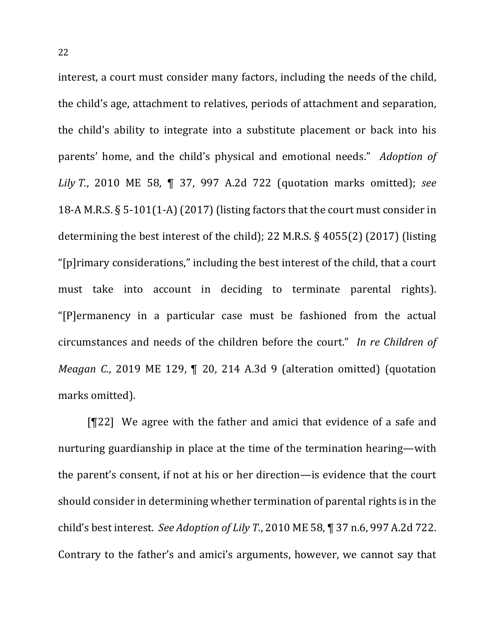interest, a court must consider many factors, including the needs of the child, the child's age, attachment to relatives, periods of attachment and separation, the child's ability to integrate into a substitute placement or back into his parents' home, and the child's physical and emotional needs." *Adoption of Lily T.*, 2010 ME 58, ¶ 37, 997 A.2d 722 (quotation marks omitted); see 18-A M.R.S.  $\S$  5-101(1-A) (2017) (listing factors that the court must consider in determining the best interest of the child); 22 M.R.S.  $\S$  4055(2) (2017) (listing "[p]rimary considerations," including the best interest of the child, that a court must take into account in deciding to terminate parental rights). "[P]ermanency in a particular case must be fashioned from the actual circumstances and needs of the children before the court." In re Children of *Meagan* C., 2019 ME 129, ¶ 20, 214 A.3d 9 (alteration omitted) (quotation marks omitted).

 $[T22]$  We agree with the father and amici that evidence of a safe and nurturing guardianship in place at the time of the termination hearing—with the parent's consent, if not at his or her direction—is evidence that the court should consider in determining whether termination of parental rights is in the child's best interest. See Adoption of Lily T., 2010 ME 58, ¶ 37 n.6, 997 A.2d 722. Contrary to the father's and amici's arguments, however, we cannot say that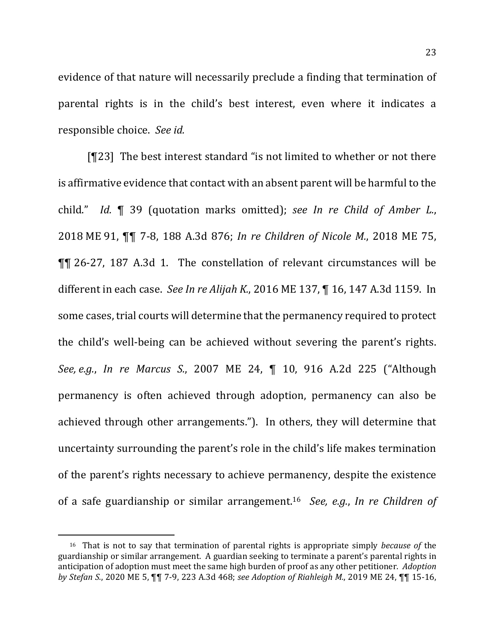evidence of that nature will necessarily preclude a finding that termination of parental rights is in the child's best interest, even where it indicates a responsible choice. See id.

[¶23] The best interest standard "is not limited to whether or not there is affirmative evidence that contact with an absent parent will be harmful to the child." *Id.* **[4** 39 (quotation marks omitted); see *In re Child of Amber L.*, 2018 ME 91, **¶¶** 7-8, 188 A.3d 876; *In re Children of Nicole M.*, 2018 ME 75, ¶¶ 26-27, 187 A.3d 1. The constellation of relevant circumstances will be different in each case. See In re Alijah K., 2016 ME 137, ¶ 16, 147 A.3d 1159. In some cases, trial courts will determine that the permanency required to protect the child's well-being can be achieved without severing the parent's rights. *See, e.g.*, *In re Marcus S.*, 2007 ME 24, ¶ 10, 916 A.2d 225 ("Although permanency is often achieved through adoption, permanency can also be achieved through other arrangements."). In others, they will determine that uncertainty surrounding the parent's role in the child's life makes termination of the parent's rights necessary to achieve permanency, despite the existence of a safe guardianship or similar arrangement.<sup>16</sup> *See, e.g., In re Children of* 

<sup>&</sup>lt;sup>16</sup> That is not to say that termination of parental rights is appropriate simply *because* of the guardianship or similar arrangement. A guardian seeking to terminate a parent's parental rights in anticipation of adoption must meet the same high burden of proof as any other petitioner. *Adoption by Stefan S.*, 2020 ME 5,  $\P$  $\P$  7-9, 223 A.3d 468; see Adoption of Riahleigh M., 2019 ME 24,  $\P$  $\P$  15-16,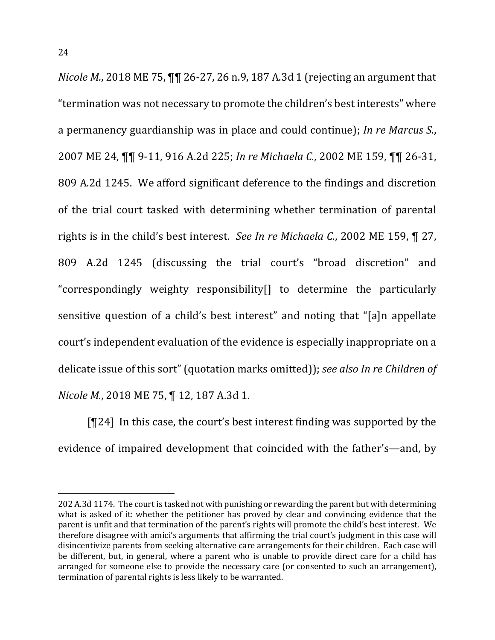*Nicole M.*, 2018 ME 75,  $\P\P$  26-27, 26 n.9, 187 A.3d 1 (rejecting an argument that "termination was not necessary to promote the children's best interests" where a permanency guardianship was in place and could continue); *In re Marcus S.*, 2007 ME 24, ¶¶ 9-11, 916 A.2d 225; *In re Michaela C.*, 2002 ME 159, ¶¶ 26-31, 809 A.2d 1245. We afford significant deference to the findings and discretion of the trial court tasked with determining whether termination of parental rights is in the child's best interest. See In re Michaela C., 2002 ME 159,  $\P$  27, 809 A.2d 1245 (discussing the trial court's "broad discretion" and "correspondingly weighty responsibility[] to determine the particularly sensitive question of a child's best interest" and noting that "[a]n appellate court's independent evaluation of the evidence is especially inappropriate on a delicate issue of this sort" (quotation marks omitted)); *see also In re Children of Nicole M.*, 2018 ME 75, ¶ 12, 187 A.3d 1.

 $[T24]$  In this case, the court's best interest finding was supported by the evidence of impaired development that coincided with the father's—and, by

<sup>202</sup> A.3d 1174. The court is tasked not with punishing or rewarding the parent but with determining what is asked of it: whether the petitioner has proved by clear and convincing evidence that the parent is unfit and that termination of the parent's rights will promote the child's best interest. We therefore disagree with amici's arguments that affirming the trial court's judgment in this case will disincentivize parents from seeking alternative care arrangements for their children. Each case will be different, but, in general, where a parent who is unable to provide direct care for a child has arranged for someone else to provide the necessary care (or consented to such an arrangement), termination of parental rights is less likely to be warranted.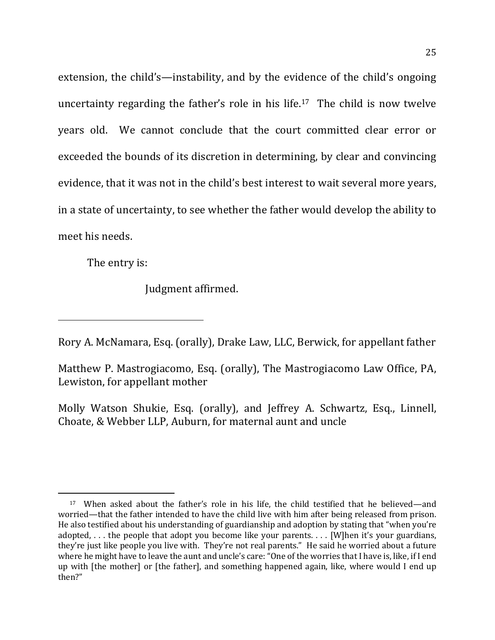extension, the child's—instability, and by the evidence of the child's ongoing uncertainty regarding the father's role in his life.<sup>17</sup> The child is now twelve years old. We cannot conclude that the court committed clear error or exceeded the bounds of its discretion in determining, by clear and convincing evidence, that it was not in the child's best interest to wait several more years, in a state of uncertainty, to see whether the father would develop the ability to meet his needs.

The entry is:

Judgment affirmed.

Rory A. McNamara, Esq. (orally), Drake Law, LLC, Berwick, for appellant father

Matthew P. Mastrogiacomo, Esg. (orally), The Mastrogiacomo Law Office, PA, Lewiston, for appellant mother

Molly Watson Shukie, Esq. (orally), and Jeffrey A. Schwartz, Esq., Linnell, Choate, & Webber LLP, Auburn, for maternal aunt and uncle

<sup>&</sup>lt;sup>17</sup> When asked about the father's role in his life, the child testified that he believed—and worried—that the father intended to have the child live with him after being released from prison. He also testified about his understanding of guardianship and adoption by stating that "when you're adopted,  $\dots$  the people that adopt you become like your parents.  $\dots$  [W]hen it's your guardians, they're just like people you live with. They're not real parents." He said he worried about a future where he might have to leave the aunt and uncle's care: "One of the worries that I have is, like, if I end up with [the mother] or [the father], and something happened again, like, where would I end up then?"